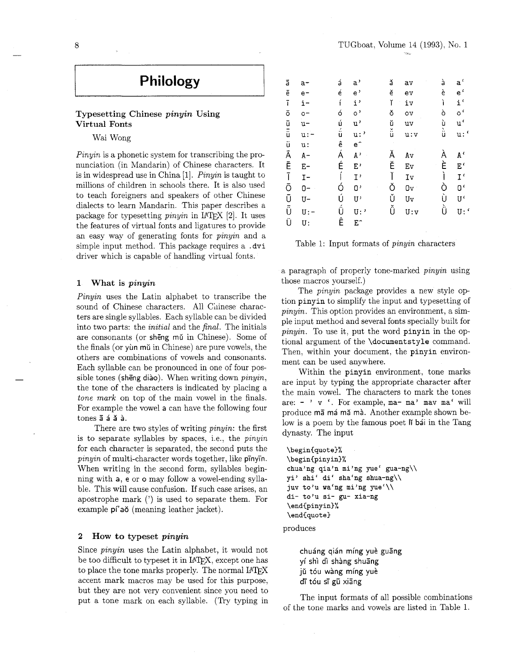# **Philology**

## **Typesetting Chinese** *pinyin* **Using Virtual** Fonts

Wai Wong

*Pinyin* is a phonetic system for transcribing the pronunciation (in Mandarin) of Chinese characters. It is in widespread use in China [1]. *Pinyin* is taught to millions of children in schools there. It is also used to teach foreigners and speakers of other Chinese dialects to learn Mandarin. This paper describes a package for typesetting *pinyin* in LAT<sub>F</sub>X [2]. It uses the features of virtual fonts and ligatures to provide an easy way of generating fonts for *pinyin* and a simple input method. This package requires a . **dvi**  driver which is capable of handling virtual fonts.

#### **1 What is** *pinyin*

*Pinyin* uses the Latin alphabet to transcribe the sound of Chinese characters. All Chinese characters are single syllables. Each syllable can be divided into two parts: the *initial* and the *final.* The initials are consonants (or sheng mu in Chinese). Some of the finals (or yun mu in Chinese) are pure vowels, the others are combinations of vowels and consonants. Each syllable can be pronounced in one of four possible tones (sheng diào). When writing down *pinyin*, the tone of the characters is indicated by placing a *tone* mark on top of the main vowel in the finals. For example the vowel a can have the following four tones **5** a **5** a.

There are two styles of writing *pinyin:* the first is to separate syllables by spaces, i.e., the *pinyin*  for each character is separated, the second puts the *pinyin* of multi-character words together, like pinyin. When writing in the second form, syllables beginning with a, e or o may follow a vowel-ending syllable. This will cause confusion. If such case arises, an apostrophe mark (') is used to separate them. For example pi'aŏ (meaning leather jacket).

#### **2** How to **typeset** *pinyin*

Since *pinyin* uses the Latin alphabet, it would not be too difficult to typeset it in LAT<sub>EX</sub>, except one has to place the tone marks properly. The normal accent mark macros may be used for this purpose, but they are not very convenient since you need to put a tone mark on each syllable. (Try typing in

| ã              | a-    | á      | a'             | ă      | av  | à      | a'                                    |
|----------------|-------|--------|----------------|--------|-----|--------|---------------------------------------|
| ē              | $e-$  | é      | $e^{\,\prime}$ | ě      | ev  | è      | $e^{\prime}$                          |
| $\overline{1}$ | $i -$ | í      | i,             | ĭ      | iv  | ì      | $i^{\prime}$                          |
| ō              | $o-$  | ó      | $\circ$ '      | ŏ      | ov  | ò      | $\circ$ <sup><math>\circ</math></sup> |
| นิ<br>นิ       | $u-$  | ú<br>ü | u'             | ŭ<br>ü | uv  | ù<br>ü | u'                                    |
|                | $u:-$ |        | u: '           |        | u:v |        | u:                                    |
| ü              | u:    | ê<br>Á | $e^{\frown}$   |        |     |        |                                       |
| Ā              | $A -$ |        | $\mathbf{A}$ , | Ă      | Λv  | À      | $A^{\prime}$                          |
| Ē              | $E-$  | É      | E,             | Ě      | Ev  | È      | E,                                    |
| $\overline{1}$ | $I -$ | Í      | I'             | Ĭ      | Iv  | Ì      | $I^{\prime}$                          |
| Ō              | $0 -$ | Ó      | $\mathfrak{o}$ | Ŏ      | Ov  | Ò      | O'                                    |
| Ū              | U-    | Ú      | ŋ,             | Ŭ      | Uv  | Ù      | Ū٢                                    |
| Ü              | U:    | ΰ      | $U:$ '         | Ŭ      | U:V | ò      | U:'                                   |
| Ü              | U:    | Ê      | E <sup>-</sup> |        |     |        |                                       |

Table l: Input formats of *pinyin* characters

a paragraph of properly tone-marked *pinyin* using those macros yourself.)

The *pinyin* package provides a new style option **pinyin** to simplify the input and typesetting of *pinyin.* This option provides an environment, a simple input method and several fonts specially built for *pznyzn.* To use it, put the word **pinyin** in the optional argument of the **\documentst yle** command. Then, within your document, the **pinyin** environment can be used anywhere.

Within the **pinyin** environment, tone marks are input by typing the appropriate character after the main vowel. The characters to mark the tones are: - ' **v** '. For example, ma- **ma' mav ma'** will produce mā má mǎ mà. Another example shown below is a poem by the famous poet I bái in the Tang dynasty. The input

```
\begin(quote)% 
\begin(pinyin)% 
chua'ng qia'n mi'ng yue' gua-ng\\
yi' shi' di' sha'ng shua-ng\\ 
juv to'u wa'ng mi'ng yue'\\
di- to'u si- gu- xia-ng 
\end(pinyin)% 
\end(quote)
```
produces

chuáng qián míng yuè guang yí shì dì shàng shuang jǔ tóu wàng míng yuè **di** tou si gii xiang

The input formats of all possible combinations of the tone marks and vowels are listed in Table 1.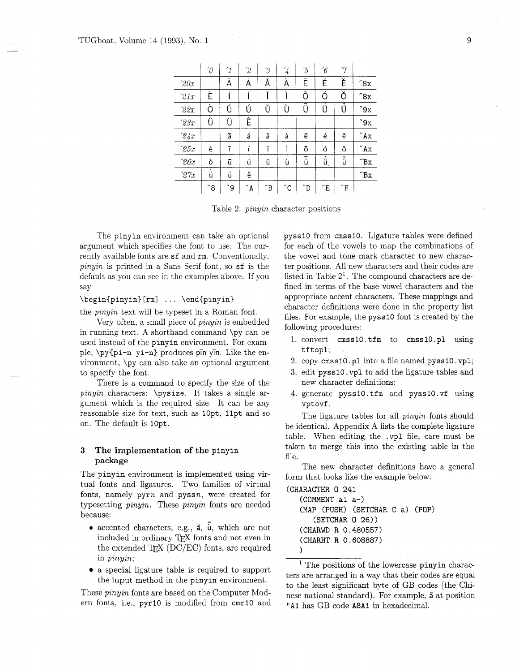|       | $\theta$ | $\mathcal{I}$ | $\hat{z}$                  | 13                           | $\frac{7}{4}$       | ′5  | $\hat{b}$           | 17                  |                      |
|-------|----------|---------------|----------------------------|------------------------------|---------------------|-----|---------------------|---------------------|----------------------|
| 20x   |          | Ā             | Á                          | Ă                            | À                   | Ē   | É                   | Ě                   | "8x                  |
| $21x$ | È        | --            |                            |                              |                     | Ō   | Ó                   | Ŏ                   | "8x                  |
| 22x   | Ò        | Ũ             | Ú                          | Ŭ                            | ↖<br>Ù              | ΰ   | Ú                   | ŭ                   | "9x                  |
| 23x   | ΰ        | <br>Ü         | Ê                          |                              |                     |     |                     |                     | $^{\prime\prime}9x$  |
| 24x   |          | ā             | á                          | ă                            | à                   | ē   | é                   | ě                   | "Ax                  |
| 25x   | è        | ĩ             | í                          | ĭ                            | ì                   | ō   | ó                   | ŏ                   | $^{\prime\prime}$ Ax |
| 26x   | ò        | ū             | ú                          | ŭ                            | ù                   | ü   | ΰ                   | ŭ                   | $^{\prime\prime}$ Bx |
| $27x$ | ù        | ü             | ê                          |                              |                     |     |                     |                     | $^{\prime\prime}$ Bx |
|       | "8       | ″9            | $^{\prime\prime} \text{A}$ | $^{\prime\prime} \texttt{B}$ | $^{\prime\prime}$ C | "D" | $^{\prime\prime}$ E | $^{\prime\prime}$ F |                      |

Table 2: **pinyin** character positions

The **pinyin** environment can take an optional argument which specifies the font to use. The currently available fonts are **sf** and **rm.** Conventionally, **pinyin** is printed in a Sans Serif font, so **sf** is the default as you can see in the examples above. If you say

**\begin{pinyin)[rml** ... **\end{pinyin)** 

the **pinyin** text will be typeset in a Roman font.

Very often, a small piece of **pinyin** is embedded in running text. A shorthand command **\py** can be used instead of the **pinyin** environment. For example, **\py{pi-n yi-n)** produces pin yin. Like the environment, **\py** can also take an optional argument to specify the font.

There is a command to specify the size of the **pinyin** characters: **\pysize.** It takes a single argument which is the required size. It can be any reasonable size for text, such as **IOpt, llpt** and so on. The default is **IOpt.** 

### **3 The implementation of the pinyin package**

The **pinyin** environment is implemented using virtual fonts and ligatures. Two families of virtual fonts. namely **pyrn** and **pyssn,** were created for typesetting **pinyin.** These **pinyin** fonts are needed because:

- accented characters, e.g., **3,** i, which are not included in ordinary TEX fonts and not even in the extended  $TFX (DC/EC)$  fonts, are required in **pinyin;**
- a special ligature table is required to support the input method in the **pinyin** environment.

These **pinyin** fonts are based on the Computer Modern fonts, i.e., **pyr10** is modified from **cmrlO** and **pyssio** from **cmssi0.** Ligature tables were defined for each of the vowels to map the combinations of the vowel and tone mark character to new character positions. All new characters and their codes are listed in Table **2l.** The compound characters are defined in terms of the base vowel characters and the appropriate accent characters. These mappings and character definitions were done in the property list files. For example, the **pysslO** font is created by the following procedures:

- 1. convert **cmssi0.tfm** to **cmssl0.pl** using **tftopl;**
- 2. copy **cmssio** . **pl** into a file named **pyssl0. vpl;**
- **3.** edit **pyssl0.vpl** to add the ligature tables and new character definitions:
- 4. generate **pyssl0.tfm** and **pyssl0.vf** using **vptovf** .

The ligature tables for all *pinyin* fonts should be identical. Appendix A lists the complete ligature table. When editing the **.vpl** file, care must be taken to merge this into the existing table in the file.

The new character definitions have a general form that looks like the example below:

```
(CHARACTER 0 241 
   (COMMENT a1 a-1 
   (MAP (PUSH) (SETCHAR C a) (POP) 
      (SETCHAR 0 26)) 
   (CHARWD R 0.480557) 
   (CHARHT R 0.608887) 
   \lambda
```
<sup>1</sup> The positions of the lowercase **pinyin** characters are arranged in a way that their codes are equal to the least significant byte of GB codes (the Chinese national standard). For example, **3** at position **"A1** has GB code **A8A1** in hexadecimal.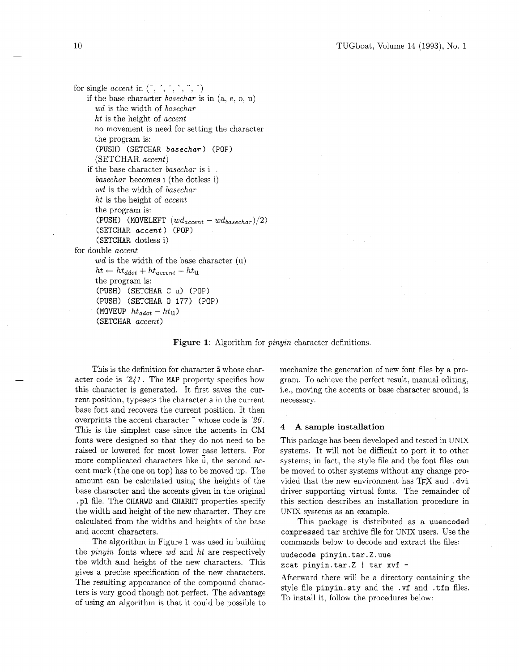for single  $\emph{accelt}$  in (^, ´, `, `, `, ^) if the base character basechar is in  $(a, e, o, u)$ wd is the width of basechar ht is the height of accent no movement is need for setting the character the program is: (PUSH) (SETCHAR basechar ) (POP) (SETCHAR accent) if the base character basechar is i . basechar becomes **1** (the dotless i) wd is the width of basechar ht is the height of accent the program is: (PUSH) (MOVELEFT  $(wd_{accelt} - wd_{basechar})/2)$ (SETCHAR accent ) (POP) (SETCHAR dotless i) for double accent  $wd$  is the width of the base character  $(u)$  $ht \leftarrow ht_{ddot} + ht_{accelt} - ht_{u}$ the program is: (PUSH) (SETCHAR C u) (POP) (PUSH) (SETCHAR 0 177) (POP) (MOVEUP  $ht_{ddot} - ht_{\rm u}$ ) (SETCHAR accent)

Figure 1: Algorithm for *pinyin* character definitions.

This is the definition for character **2** whose character code is  $241$ . The MAP property specifies how this character is generated. It first saves the current position, typesets the character a in the current base font and recovers the current position. It then overprints the accent character  $\bar{\ }$  whose code is  $26$ . This is the simplest case since the accents in CM fonts were designed so that they do not need to be raised or lowered for most lower case letters. For more complicated characters like ii, the second accent mark (the one on top) has to be moved up. The amount can be calculated using the heights of the base character and the accents given in the original .pl file. The CHARWD and CHARHT properties specify the width and height of the new character. They are calculated from the widths and heights of the base and accent characters.

The algorithm in Figure 1 was used in building the pinyin fonts where wd and ht are respectively the width and height of the new characters. This gives a precise specification of the new characters. The resulting appearance of the compound characters is very good though not perfect. The advantage of using an algorithm is that it could be possible to

mechanize the generation of new font files by a program. To achieve the perfect result, manual editing, i.e., moving the accents or base character around, is necessary.

### **4 A sample installation**

This package has been developed and tested in UNIX systems. It will not be difficult to port it to other systems; in fact, the style file and the font files can be moved to other systems without any change provided that the new environment has TFX and .dvi driver supporting virtual fonts. The remainder of this section describes an installation procedure in UNIX systems as an example.

This package is distributed as a uuencoded compressed tar archive file for UNIX users. Use the commands below to decode and extract the files:

uudecode pinyin.tar.Z.uue zcat pinyin.tar.Z | tar xvf -

Afterward there will be a directory containing the style file pinyin. sty and the . vf and . tfm files. To install it, follow the procedures below: